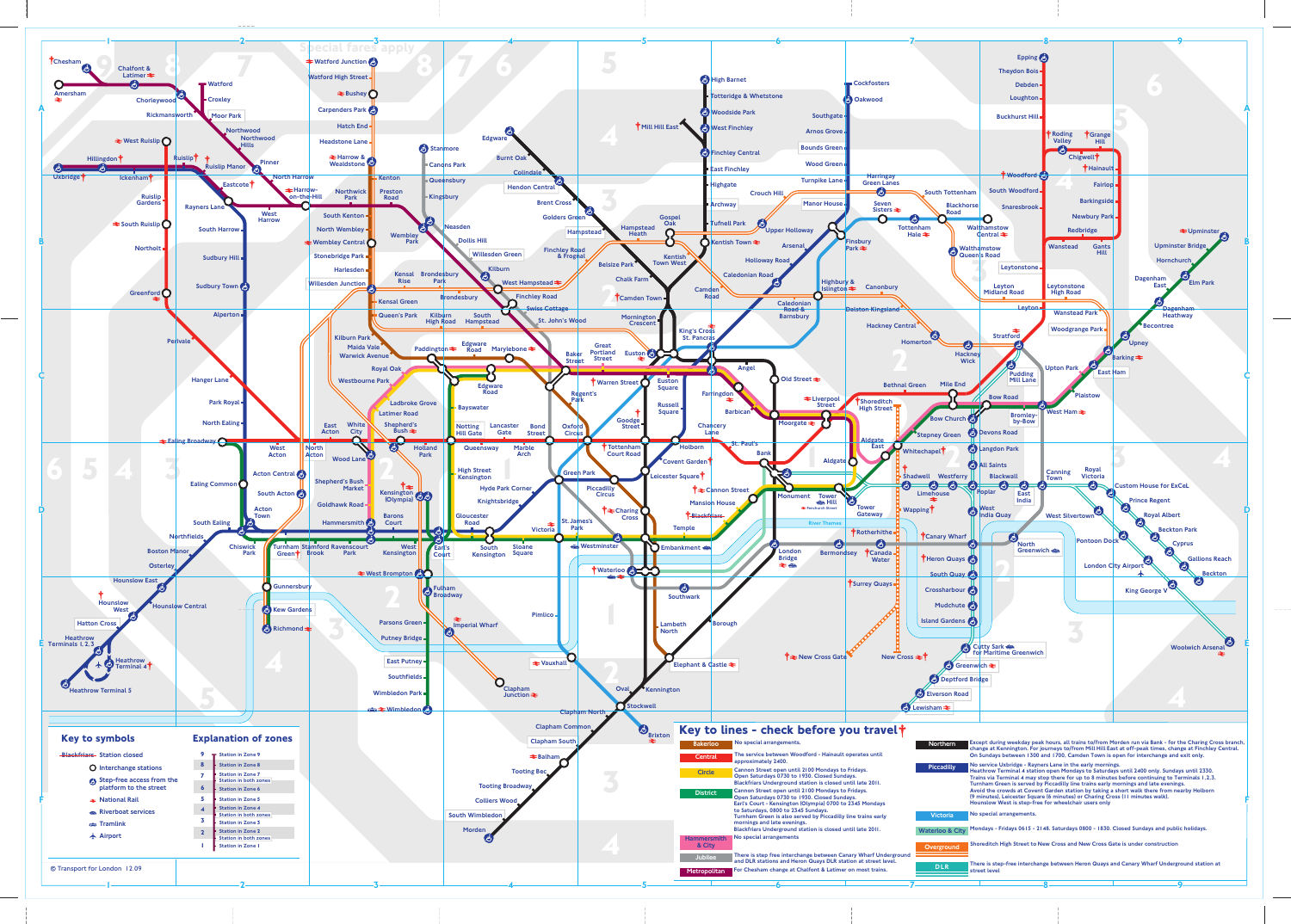